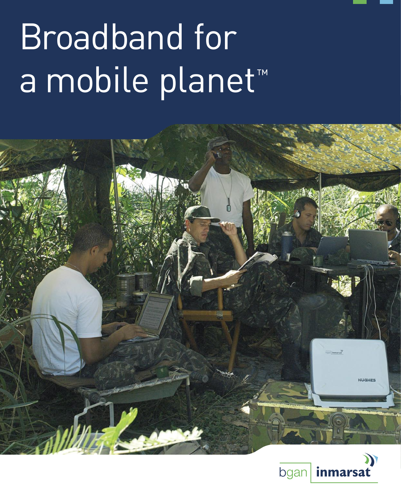# Broadband for a mobile planet<sup>™</sup>



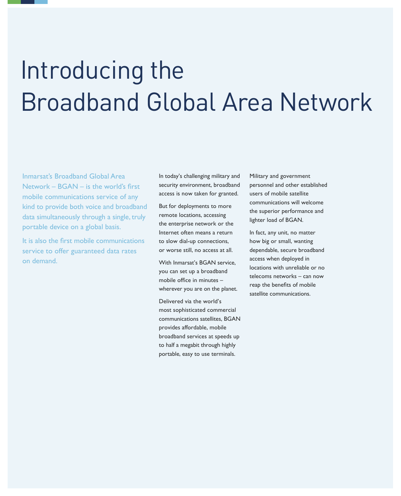# Introducing the Broadband Global Area Network

Inmarsat's Broadband Global Area Network – BGAN – is the world's first mobile communications service of any kind to provide both voice and broadband data simultaneously through a single, truly portable device on a global basis.

It is also the first mobile communications service to offer guaranteed data rates on demand.

In today's challenging military and security environment, broadband access is now taken for granted.

But for deployments to more remote locations, accessing the enterprise network or the Internet often means a return to slow dial-up connections, or worse still, no access at all.

With Inmarsat's BGAN service, you can set up a broadband mobile office in minutes – wherever you are on the planet.

Delivered via the world's most sophisticated commercial communications satellites, BGAN provides affordable, mobile broadband services at speeds up to half a megabit through highly portable, easy to use terminals.

Military and government personnel and other established users of mobile satellite communications will welcome the superior performance and lighter load of BGAN.

In fact, any unit, no matter how big or small, wanting dependable, secure broadband access when deployed in locations with unreliable or no telecoms networks – can now reap the benefits of mobile satellite communications.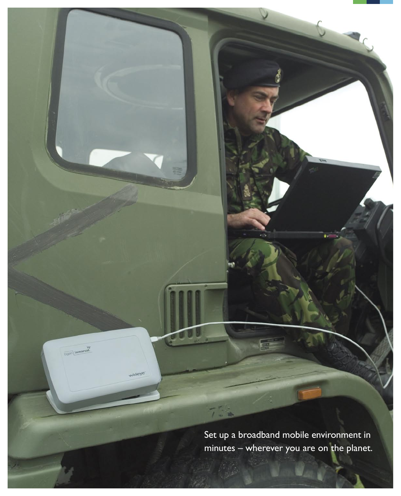Set up a broadband mobile environment in minutes – wherever you are on the planet.

 $75<sub>o</sub>$ 

wideye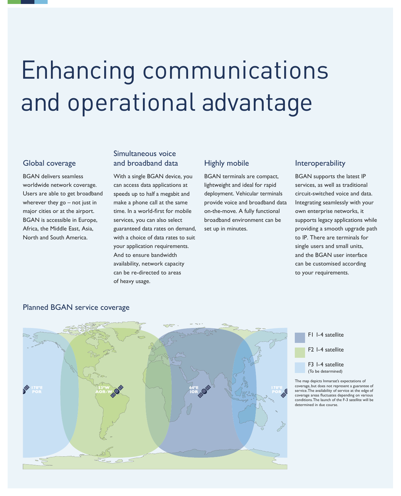# Enhancing communications and operational advantage

# Global coverage

BGAN delivers seamless worldwide network coverage. Users are able to get broadband wherever they go – not just in major cities or at the airport. BGAN is accessible in Europe, Africa, the Middle East, Asia, North and South America.

# Simultaneous voice and broadband data

With a single BGAN device, you can access data applications at speeds up to half a megabit and make a phone call at the same time. In a world-first for mobile services, you can also select guaranteed data rates on demand, with a choice of data rates to suit your application requirements. And to ensure bandwidth availability, network capacity can be re-directed to areas of heavy usage.

# Highly mobile

BGAN terminals are compact, lightweight and ideal for rapid deployment. Vehicular terminals provide voice and broadband data on-the-move. A fully functional broadband environment can be set up in minutes.

### Interoperability

BGAN supports the latest IP services, as well as traditional circuit-switched voice and data. Integrating seamlessly with your own enterprise networks, it supports legacy applications while providing a smooth upgrade path to IP. There are terminals for single users and small units, and the BGAN user interface can be customised according to your requirements.



# Planned BGAN service coverage



The map depicts Inmarsat's expectations of coverage, but does not represent a guarantee of service. The availability of service at the edge of coverage areas fluctuates depending on various conditions. The launch of the F-3 satellite will be determined in due course.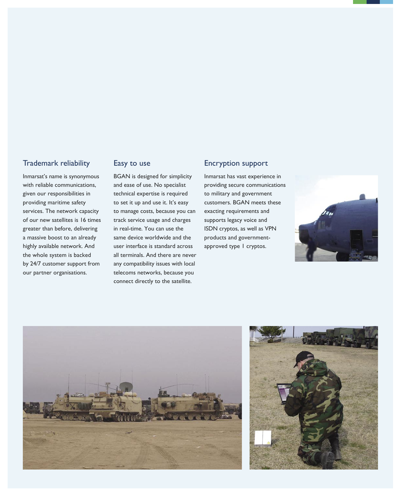# Trademark reliability

Inmarsat's name is synonymous with reliable communications, given our responsibilities in providing maritime safety services. The network capacity of our new satellites is 16 times greater than before, delivering a massive boost to an already highly available network. And the whole system is backed by 24/7 customer support from our partner organisations.

# Easy to use

BGAN is designed for simplicity and ease of use. No specialist technical expertise is required to set it up and use it. It's easy to manage costs, because you can track service usage and charges in real-time. You can use the same device worldwide and the user interface is standard across all terminals. And there are never any compatibility issues with local telecoms networks, because you connect directly to the satellite.

#### Encryption support

Inmarsat has vast experience in providing secure communications to military and government customers. BGAN meets these exacting requirements and supports legacy voice and ISDN cryptos, as well as VPN products and governmentapproved type 1 cryptos.





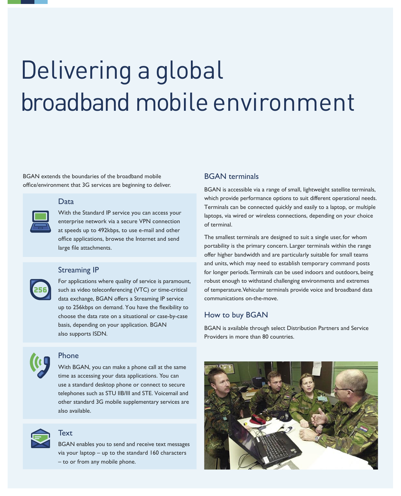# Delivering a global broadband mobile environment

BGAN extends the boundaries of the broadband mobile office/environment that 3G services are beginning to deliver.

#### Data

With the Standard IP service you can access your enterprise network via a secure VPN connection at speeds up to 492kbps, to use e-mail and other office applications, browse the Internet and send large file attachments.

#### Streaming IP

For applications where quality of service is paramount, such as video teleconferencing (VTC) or time-critical data exchange, BGAN offers a Streaming IP service up to 256kbps on demand. You have the flexibility to choose the data rate on a situational or case-by-case basis, depending on your application. BGAN also supports ISDN.



# Phone

With BGAN, you can make a phone call at the same time as accessing your data applications. You can use a standard desktop phone or connect to secure telephones such as STU IIB/III and STE. Voicemail and other standard 3G mobile supplementary services are also available.



### **Text**

BGAN enables you to send and receive text messages via your laptop – up to the standard 160 characters – to or from any mobile phone.

### BGAN terminals

BGAN is accessible via a range of small, lightweight satellite terminals, which provide performance options to suit different operational needs. Terminals can be connected quickly and easily to a laptop, or multiple laptops, via wired or wireless connections, depending on your choice of terminal.

The smallest terminals are designed to suit a single user, for whom portability is the primary concern. Larger terminals within the range offer higher bandwidth and are particularly suitable for small teams and units, which may need to establish temporary command posts for longer periods. Terminals can be used indoors and outdoors, being robust enough to withstand challenging environments and extremes of temperature. Vehicular terminals provide voice and broadband data communications on-the-move.

#### How to buy BGAN

BGAN is available through select Distribution Partners and Service Providers in more than 80 countries.

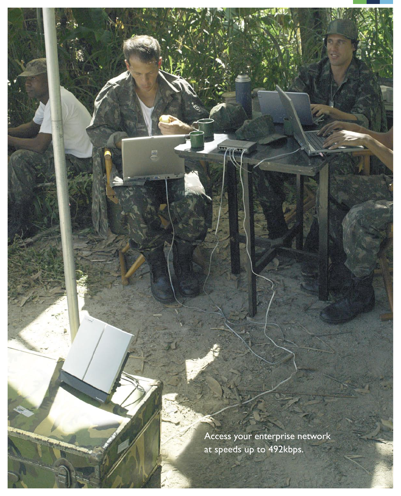Access your enterprise network at speeds up to 492kbps.